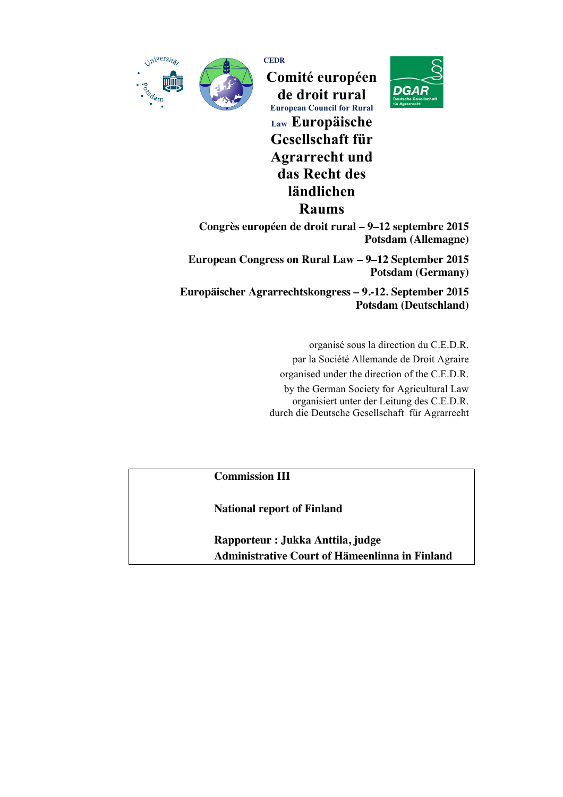



**CEDR Comité européen de droit rural European Council for Rural Law Europäische Gesellschaft für Agrarrecht und das Recht des ländlichen Raums**



**Congrès européen de droit rural – 9–12 septembre 2015 Potsdam (Allemagne)**

**European Congress on Rural Law – 9–12 September 2015 Potsdam (Germany)**

**Europäischer Agrarrechtskongress – 9.-12. September 2015 Potsdam (Deutschland)**

> organisé sous la direction du C.E.D.R. par la Société Allemande de Droit Agraire organised under the direction of the C.E.D.R. by the German Society for Agricultural Law organisiert unter der Leitung des C.E.D.R. durch die Deutsche Gesellschaft für Agrarrecht

**Commission III**

**National report of Finland**

**Rapporteur : Jukka Anttila, judge Administrative Court of Hämeenlinna in Finland**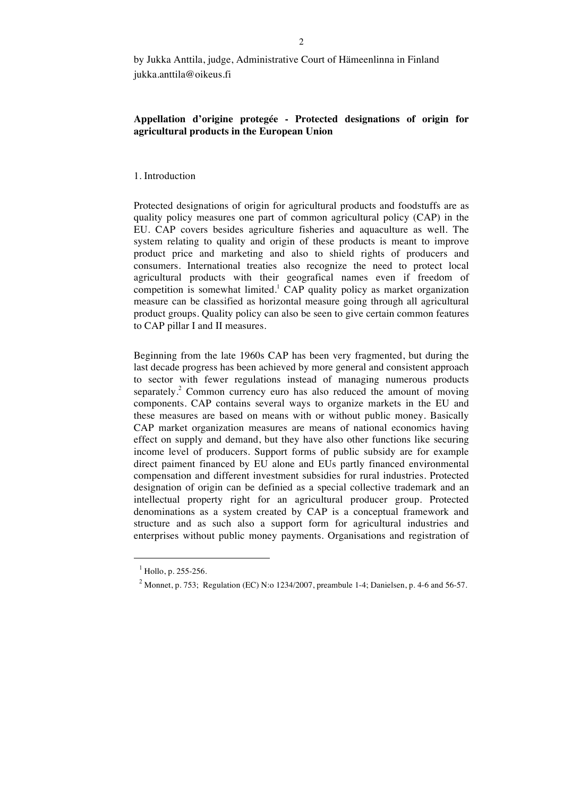# **Appellation d'origine protegée - Protected designations of origin for agricultural products in the European Union**

## 1. Introduction

Protected designations of origin for agricultural products and foodstuffs are as quality policy measures one part of common agricultural policy (CAP) in the EU. CAP covers besides agriculture fisheries and aquaculture as well. The system relating to quality and origin of these products is meant to improve product price and marketing and also to shield rights of producers and consumers. International treaties also recognize the need to protect local agricultural products with their geografical names even if freedom of competition is somewhat limited.<sup>1</sup> CAP quality policy as market organization measure can be classified as horizontal measure going through all agricultural product groups. Quality policy can also be seen to give certain common features to CAP pillar I and II measures.

Beginning from the late 1960s CAP has been very fragmented, but during the last decade progress has been achieved by more general and consistent approach to sector with fewer regulations instead of managing numerous products separately.<sup>2</sup> Common currency euro has also reduced the amount of moving components. CAP contains several ways to organize markets in the EU and these measures are based on means with or without public money. Basically CAP market organization measures are means of national economics having effect on supply and demand, but they have also other functions like securing income level of producers. Support forms of public subsidy are for example direct paiment financed by EU alone and EUs partly financed environmental compensation and different investment subsidies for rural industries. Protected designation of origin can be definied as a special collective trademark and an intellectual property right for an agricultural producer group. Protected denominations as a system created by CAP is a conceptual framework and structure and as such also a support form for agricultural industries and enterprises without public money payments. Organisations and registration of

 $<sup>1</sup>$  Hollo, p. 255-256.</sup>

<sup>&</sup>lt;sup>2</sup> Monnet, p. 753; Regulation (EC) N:o 1234/2007, preambule 1-4; Danielsen, p. 4-6 and 56-57.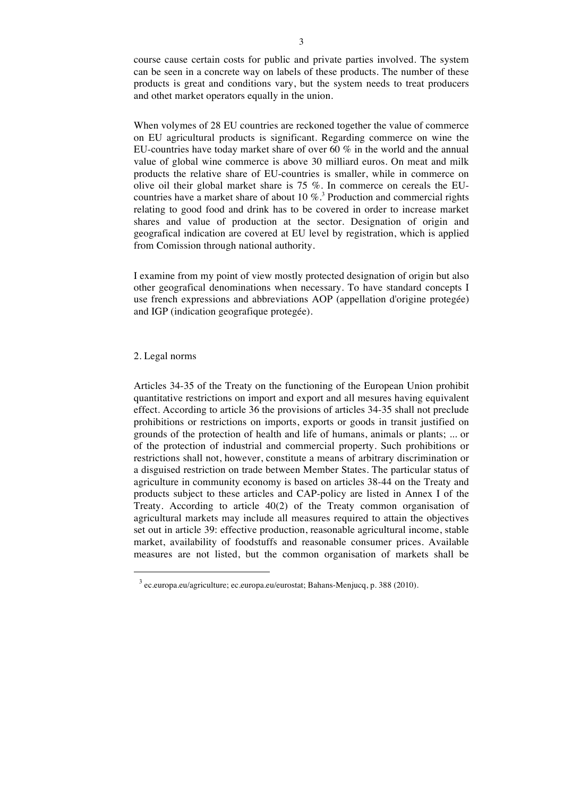course cause certain costs for public and private parties involved. The system can be seen in a concrete way on labels of these products. The number of these products is great and conditions vary, but the system needs to treat producers and othet market operators equally in the union.

When volymes of 28 EU countries are reckoned together the value of commerce on EU agricultural products is significant. Regarding commerce on wine the EU-countries have today market share of over 60 % in the world and the annual value of global wine commerce is above 30 milliard euros. On meat and milk products the relative share of EU-countries is smaller, while in commerce on olive oil their global market share is 75 %. In commerce on cereals the EUcountries have a market share of about 10  $\%$ .<sup>3</sup> Production and commercial rights relating to good food and drink has to be covered in order to increase market shares and value of production at the sector. Designation of origin and geografical indication are covered at EU level by registration, which is applied from Comission through national authority.

I examine from my point of view mostly protected designation of origin but also other geografical denominations when necessary. To have standard concepts I use french expressions and abbreviations AOP (appellation d'origine protegée) and IGP (indication geografique protegée).

## 2. Legal norms

 $\ddot{ }$ 

Articles 34-35 of the Treaty on the functioning of the European Union prohibit quantitative restrictions on import and export and all mesures having equivalent effect. According to article 36 the provisions of articles 34-35 shall not preclude prohibitions or restrictions on imports, exports or goods in transit justified on grounds of the protection of health and life of humans, animals or plants; ... or of the protection of industrial and commercial property. Such prohibitions or restrictions shall not, however, constitute a means of arbitrary discrimination or a disguised restriction on trade between Member States. The particular status of agriculture in community economy is based on articles 38-44 on the Treaty and products subject to these articles and CAP-policy are listed in Annex I of the Treaty. According to article 40(2) of the Treaty common organisation of agricultural markets may include all measures required to attain the objectives set out in article 39: effective production, reasonable agricultural income, stable market, availability of foodstuffs and reasonable consumer prices. Available measures are not listed, but the common organisation of markets shall be

<sup>3</sup> ec.europa.eu/agriculture; ec.europa.eu/eurostat; Bahans-Menjucq, p. 388 (2010).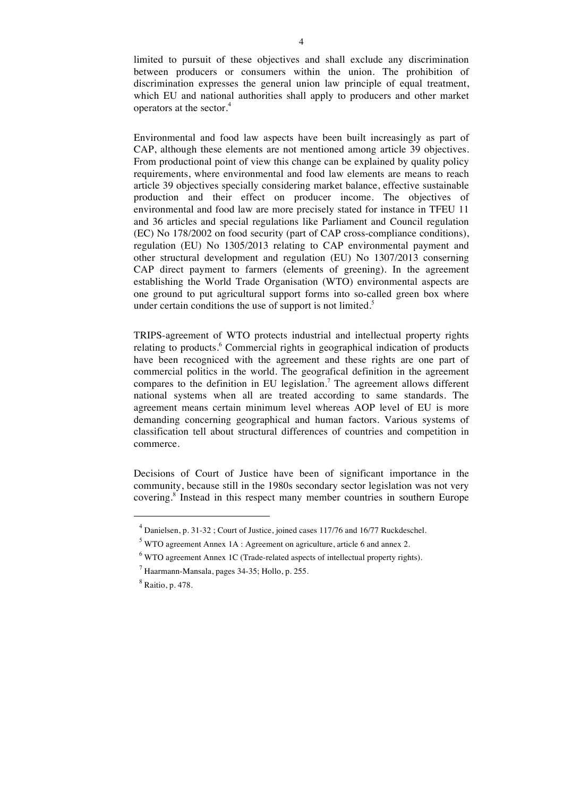limited to pursuit of these objectives and shall exclude any discrimination between producers or consumers within the union. The prohibition of discrimination expresses the general union law principle of equal treatment, which EU and national authorities shall apply to producers and other market operators at the sector.<sup>4</sup>

Environmental and food law aspects have been built increasingly as part of CAP, although these elements are not mentioned among article 39 objectives. From productional point of view this change can be explained by quality policy requirements, where environmental and food law elements are means to reach article 39 objectives specially considering market balance, effective sustainable production and their effect on producer income. The objectives of environmental and food law are more precisely stated for instance in TFEU 11 and 36 articles and special regulations like Parliament and Council regulation (EC) No 178/2002 on food security (part of CAP cross-compliance conditions), regulation (EU) No 1305/2013 relating to CAP environmental payment and other structural development and regulation (EU) No 1307/2013 conserning CAP direct payment to farmers (elements of greening). In the agreement establishing the World Trade Organisation (WTO) environmental aspects are one ground to put agricultural support forms into so-called green box where under certain conditions the use of support is not limited.<sup>5</sup>

TRIPS-agreement of WTO protects industrial and intellectual property rights relating to products.<sup>6</sup> Commercial rights in geographical indication of products have been recogniced with the agreement and these rights are one part of commercial politics in the world. The geografical definition in the agreement compares to the definition in EU legislation.<sup>7</sup> The agreement allows different national systems when all are treated according to same standards. The agreement means certain minimum level whereas AOP level of EU is more demanding concerning geographical and human factors. Various systems of classification tell about structural differences of countries and competition in commerce.

Decisions of Court of Justice have been of significant importance in the community, because still in the 1980s secondary sector legislation was not very covering.<sup>8</sup> Instead in this respect many member countries in southern Europe

 $\overline{a}$ 

<sup>4</sup> Danielsen, p. 31-32 ; Court of Justice, joined cases 117/76 and 16/77 Ruckdeschel.

 $5$  WTO agreement Annex 1A : Agreement on agriculture, article 6 and annex 2.

 $6$  WTO agreement Annex 1C (Trade-related aspects of intellectual property rights).

 $<sup>7</sup>$  Haarmann-Mansala, pages 34-35; Hollo, p. 255.</sup>

<sup>8</sup> Raitio, p. 478.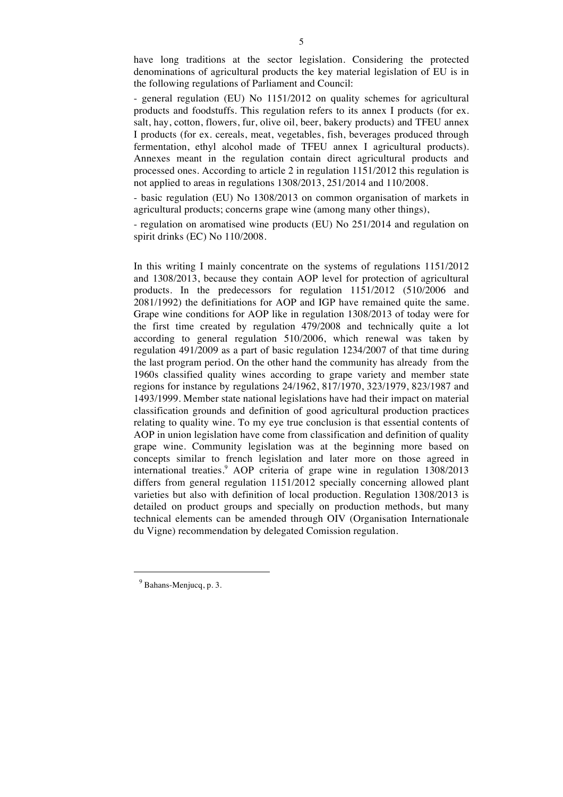have long traditions at the sector legislation. Considering the protected denominations of agricultural products the key material legislation of EU is in the following regulations of Parliament and Council:

- general regulation (EU) No 1151/2012 on quality schemes for agricultural products and foodstuffs. This regulation refers to its annex I products (for ex. salt, hay, cotton, flowers, fur, olive oil, beer, bakery products) and TFEU annex I products (for ex. cereals, meat, vegetables, fish, beverages produced through fermentation, ethyl alcohol made of TFEU annex I agricultural products). Annexes meant in the regulation contain direct agricultural products and processed ones. According to article 2 in regulation 1151/2012 this regulation is not applied to areas in regulations 1308/2013, 251/2014 and 110/2008.

- basic regulation (EU) No 1308/2013 on common organisation of markets in agricultural products; concerns grape wine (among many other things),

- regulation on aromatised wine products (EU) No 251/2014 and regulation on spirit drinks (EC) No 110/2008.

In this writing I mainly concentrate on the systems of regulations 1151/2012 and 1308/2013, because they contain AOP level for protection of agricultural products. In the predecessors for regulation 1151/2012 (510/2006 and 2081/1992) the definitiations for AOP and IGP have remained quite the same. Grape wine conditions for AOP like in regulation 1308/2013 of today were for the first time created by regulation 479/2008 and technically quite a lot according to general regulation 510/2006, which renewal was taken by regulation 491/2009 as a part of basic regulation 1234/2007 of that time during the last program period. On the other hand the community has already from the 1960s classified quality wines according to grape variety and member state regions for instance by regulations 24/1962, 817/1970, 323/1979, 823/1987 and 1493/1999. Member state national legislations have had their impact on material classification grounds and definition of good agricultural production practices relating to quality wine. To my eye true conclusion is that essential contents of AOP in union legislation have come from classification and definition of quality grape wine. Community legislation was at the beginning more based on concepts similar to french legislation and later more on those agreed in international treaties.<sup>9</sup> AOP criteria of grape wine in regulation 1308/2013 differs from general regulation 1151/2012 specially concerning allowed plant varieties but also with definition of local production. Regulation 1308/2013 is detailed on product groups and specially on production methods, but many technical elements can be amended through OIV (Organisation Internationale du Vigne) recommendation by delegated Comission regulation.

<sup>9</sup> Bahans-Menjucq, p. 3.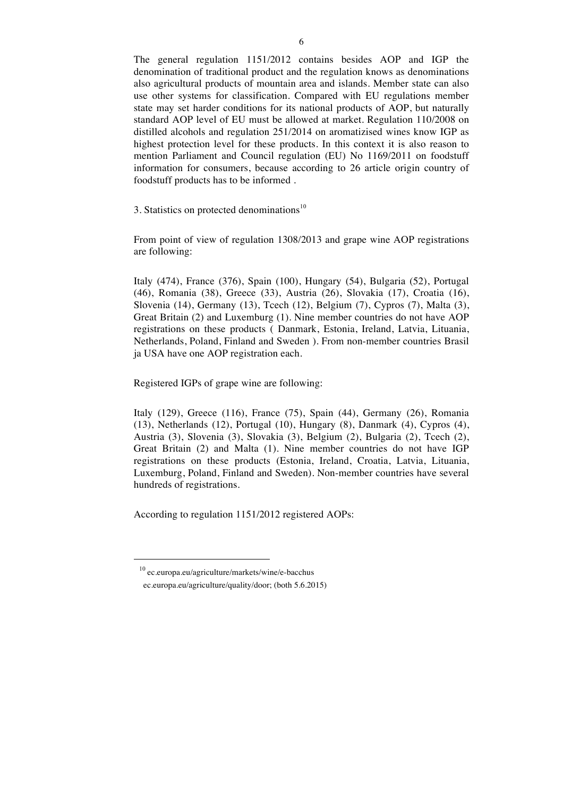The general regulation 1151/2012 contains besides AOP and IGP the denomination of traditional product and the regulation knows as denominations also agricultural products of mountain area and islands. Member state can also use other systems for classification. Compared with EU regulations member state may set harder conditions for its national products of AOP, but naturally standard AOP level of EU must be allowed at market. Regulation 110/2008 on distilled alcohols and regulation 251/2014 on aromatizised wines know IGP as highest protection level for these products. In this context it is also reason to mention Parliament and Council regulation (EU) No 1169/2011 on foodstuff information for consumers, because according to 26 article origin country of foodstuff products has to be informed .

3. Statistics on protected denominations<sup>10</sup>

From point of view of regulation 1308/2013 and grape wine AOP registrations are following:

Italy (474), France (376), Spain (100), Hungary (54), Bulgaria (52), Portugal (46), Romania (38), Greece (33), Austria (26), Slovakia (17), Croatia (16), Slovenia (14), Germany (13), Tcech (12), Belgium (7), Cypros (7), Malta (3), Great Britain (2) and Luxemburg (1). Nine member countries do not have AOP registrations on these products ( Danmark, Estonia, Ireland, Latvia, Lituania, Netherlands, Poland, Finland and Sweden ). From non-member countries Brasil ja USA have one AOP registration each.

Registered IGPs of grape wine are following:

Italy (129), Greece (116), France (75), Spain (44), Germany (26), Romania (13), Netherlands (12), Portugal (10), Hungary (8), Danmark (4), Cypros (4), Austria (3), Slovenia (3), Slovakia (3), Belgium (2), Bulgaria (2), Tcech (2), Great Britain (2) and Malta (1). Nine member countries do not have IGP registrations on these products (Estonia, Ireland, Croatia, Latvia, Lituania, Luxemburg, Poland, Finland and Sweden). Non-member countries have several hundreds of registrations.

According to regulation 1151/2012 registered AOPs:

 $\overline{a}$ 

<sup>10</sup> ec.europa.eu/agriculture/markets/wine/e-bacchus

ec.europa.eu/agriculture/quality/door; (both 5.6.2015)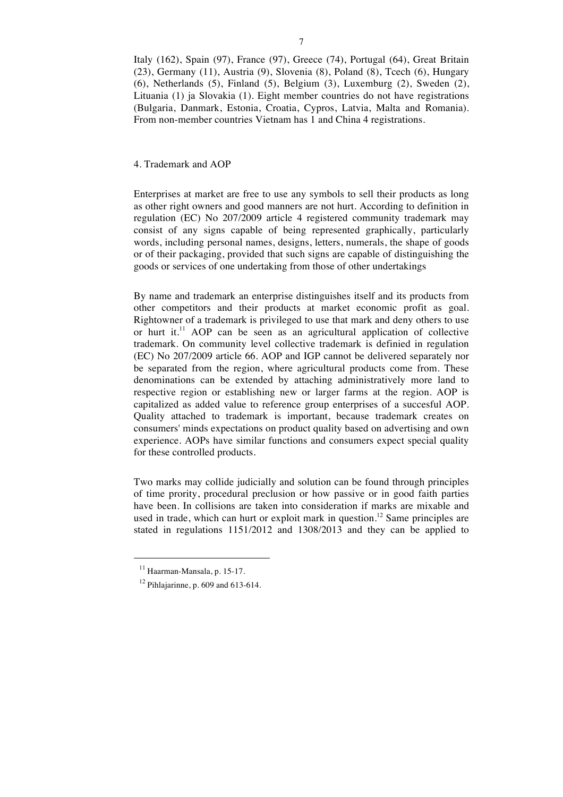Italy (162), Spain (97), France (97), Greece (74), Portugal (64), Great Britain (23), Germany (11), Austria (9), Slovenia (8), Poland (8), Tcech (6), Hungary (6), Netherlands (5), Finland (5), Belgium (3), Luxemburg (2), Sweden (2), Lituania (1) ja Slovakia (1). Eight member countries do not have registrations (Bulgaria, Danmark, Estonia, Croatia, Cypros, Latvia, Malta and Romania). From non-member countries Vietnam has 1 and China 4 registrations.

## 4. Trademark and AOP

Enterprises at market are free to use any symbols to sell their products as long as other right owners and good manners are not hurt. According to definition in regulation (EC) No 207/2009 article 4 registered community trademark may consist of any signs capable of being represented graphically, particularly words, including personal names, designs, letters, numerals, the shape of goods or of their packaging, provided that such signs are capable of distinguishing the goods or services of one undertaking from those of other undertakings

By name and trademark an enterprise distinguishes itself and its products from other competitors and their products at market economic profit as goal. Rightowner of a trademark is privileged to use that mark and deny others to use or hurt it.<sup>11</sup> AOP can be seen as an agricultural application of collective trademark. On community level collective trademark is definied in regulation (EC) No 207/2009 article 66. AOP and IGP cannot be delivered separately nor be separated from the region, where agricultural products come from. These denominations can be extended by attaching administratively more land to respective region or establishing new or larger farms at the region. AOP is capitalized as added value to reference group enterprises of a succesful AOP. Quality attached to trademark is important, because trademark creates on consumers' minds expectations on product quality based on advertising and own experience. AOPs have similar functions and consumers expect special quality for these controlled products.

Two marks may collide judicially and solution can be found through principles of time prority, procedural preclusion or how passive or in good faith parties have been. In collisions are taken into consideration if marks are mixable and used in trade, which can hurt or exploit mark in question.<sup>12</sup> Same principles are stated in regulations 1151/2012 and 1308/2013 and they can be applied to

 $11$  Haarman-Mansala, p. 15-17.

 $12$  Pihlajarinne, p. 609 and 613-614.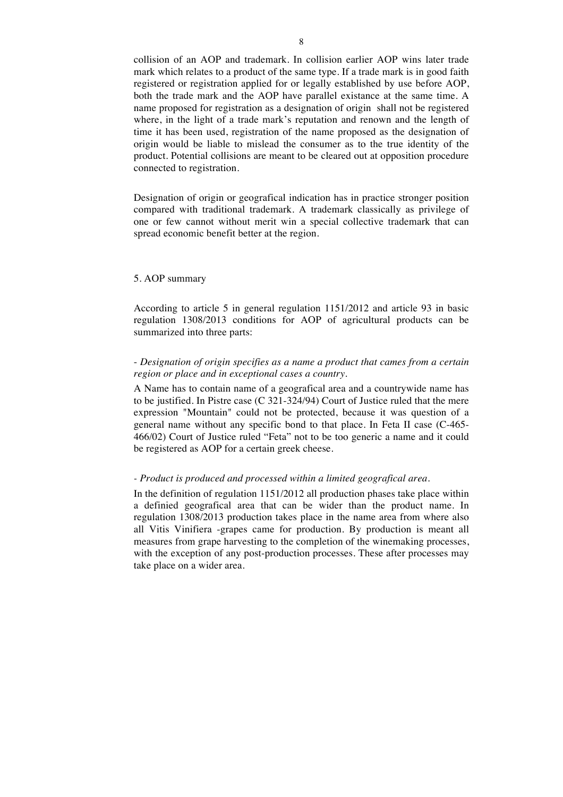collision of an AOP and trademark. In collision earlier AOP wins later trade mark which relates to a product of the same type. If a trade mark is in good faith registered or registration applied for or legally established by use before AOP, both the trade mark and the AOP have parallel existance at the same time. A name proposed for registration as a designation of origin shall not be registered where, in the light of a trade mark's reputation and renown and the length of time it has been used, registration of the name proposed as the designation of origin would be liable to mislead the consumer as to the true identity of the product. Potential collisions are meant to be cleared out at opposition procedure connected to registration.

Designation of origin or geografical indication has in practice stronger position compared with traditional trademark. A trademark classically as privilege of one or few cannot without merit win a special collective trademark that can spread economic benefit better at the region.

### 5. AOP summary

According to article 5 in general regulation 1151/2012 and article 93 in basic regulation 1308/2013 conditions for AOP of agricultural products can be summarized into three parts:

## - *Designation of origin specifies as a name a product that cames from a certain region or place and in exceptional cases a country.*

A Name has to contain name of a geografical area and a countrywide name has to be justified. In Pistre case (C 321-324/94) Court of Justice ruled that the mere expression "Mountain" could not be protected, because it was question of a general name without any specific bond to that place. In Feta II case (C-465- 466/02) Court of Justice ruled "Feta" not to be too generic a name and it could be registered as AOP for a certain greek cheese.

## *- Product is produced and processed within a limited geografical area.*

In the definition of regulation 1151/2012 all production phases take place within a definied geografical area that can be wider than the product name. In regulation 1308/2013 production takes place in the name area from where also all Vitis Vinifiera -grapes came for production. By production is meant all measures from grape harvesting to the completion of the winemaking processes, with the exception of any post-production processes. These after processes may take place on a wider area.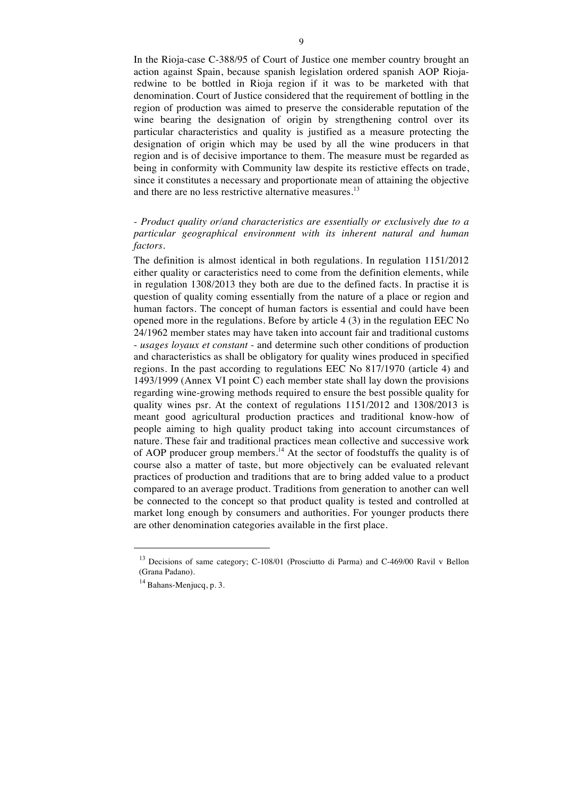In the Rioja-case C-388/95 of Court of Justice one member country brought an action against Spain, because spanish legislation ordered spanish AOP Riojaredwine to be bottled in Rioja region if it was to be marketed with that denomination. Court of Justice considered that the requirement of bottling in the region of production was aimed to preserve the considerable reputation of the wine bearing the designation of origin by strengthening control over its particular characteristics and quality is justified as a measure protecting the designation of origin which may be used by all the wine producers in that region and is of decisive importance to them. The measure must be regarded as being in conformity with Community law despite its restictive effects on trade, since it constitutes a necessary and proportionate mean of attaining the objective and there are no less restrictive alternative measures.<sup>13</sup>

# - *Product quality or/and characteristics are essentially or exclusively due to a particular geographical environment with its inherent natural and human factors.*

The definition is almost identical in both regulations. In regulation 1151/2012 either quality or caracteristics need to come from the definition elements, while in regulation 1308/2013 they both are due to the defined facts. In practise it is question of quality coming essentially from the nature of a place or region and human factors. The concept of human factors is essential and could have been opened more in the regulations. Before by article 4 (3) in the regulation EEC No 24/1962 member states may have taken into account fair and traditional customs - *usages loyaux et constant* - and determine such other conditions of production and characteristics as shall be obligatory for quality wines produced in specified regions. In the past according to regulations EEC No 817/1970 (article 4) and 1493/1999 (Annex VI point C) each member state shall lay down the provisions regarding wine-growing methods required to ensure the best possible quality for quality wines psr. At the context of regulations 1151/2012 and 1308/2013 is meant good agricultural production practices and traditional know-how of people aiming to high quality product taking into account circumstances of nature. These fair and traditional practices mean collective and successive work of AOP producer group members.<sup>14</sup> At the sector of foodstuffs the quality is of course also a matter of taste, but more objectively can be evaluated relevant practices of production and traditions that are to bring added value to a product compared to an average product. Traditions from generation to another can well be connected to the concept so that product quality is tested and controlled at market long enough by consumers and authorities. For younger products there are other denomination categories available in the first place.

 $\overline{a}$ 

<sup>&</sup>lt;sup>13</sup> Decisions of same category; C-108/01 (Prosciutto di Parma) and C-469/00 Ravil v Bellon (Grana Padano).

 $14$  Bahans-Menjucq, p. 3.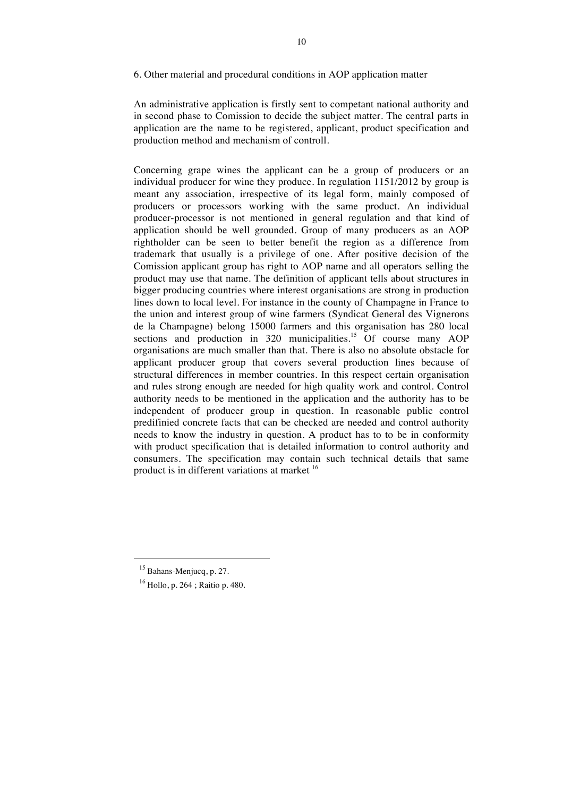### 6. Other material and procedural conditions in AOP application matter

An administrative application is firstly sent to competant national authority and in second phase to Comission to decide the subject matter. The central parts in application are the name to be registered, applicant, product specification and production method and mechanism of controll.

Concerning grape wines the applicant can be a group of producers or an individual producer for wine they produce. In regulation 1151/2012 by group is meant any association, irrespective of its legal form, mainly composed of producers or processors working with the same product. An individual producer-processor is not mentioned in general regulation and that kind of application should be well grounded. Group of many producers as an AOP rightholder can be seen to better benefit the region as a difference from trademark that usually is a privilege of one. After positive decision of the Comission applicant group has right to AOP name and all operators selling the product may use that name. The definition of applicant tells about structures in bigger producing countries where interest organisations are strong in production lines down to local level. For instance in the county of Champagne in France to the union and interest group of wine farmers (Syndicat General des Vignerons de la Champagne) belong 15000 farmers and this organisation has 280 local sections and production in 320 municipalities.<sup>15</sup> Of course many AOP organisations are much smaller than that. There is also no absolute obstacle for applicant producer group that covers several production lines because of structural differences in member countries. In this respect certain organisation and rules strong enough are needed for high quality work and control. Control authority needs to be mentioned in the application and the authority has to be independent of producer group in question. In reasonable public control predifinied concrete facts that can be checked are needed and control authority needs to know the industry in question. A product has to to be in conformity with product specification that is detailed information to control authority and consumers. The specification may contain such technical details that same product is in different variations at market <sup>16</sup>

<sup>&</sup>lt;sup>15</sup> Bahans-Menjucq, p. 27.

<sup>16</sup> Hollo, p. 264 ; Raitio p. 480.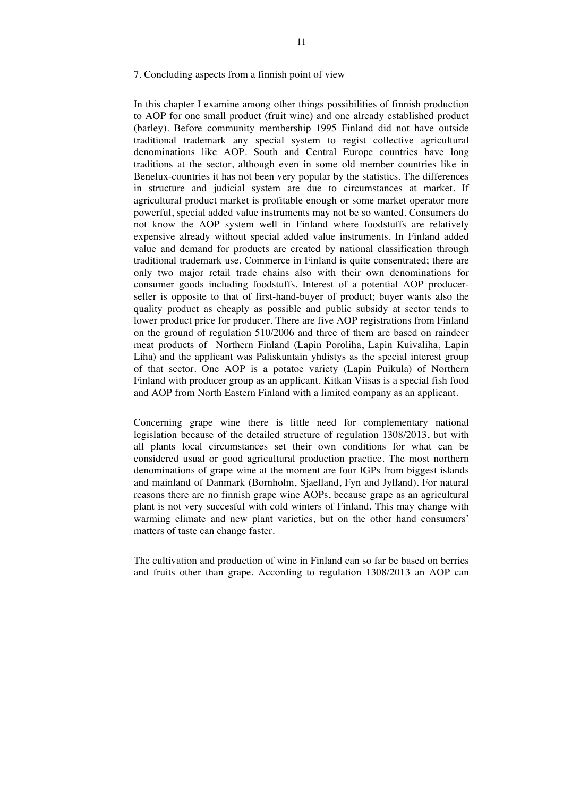### 7. Concluding aspects from a finnish point of view

In this chapter I examine among other things possibilities of finnish production to AOP for one small product (fruit wine) and one already established product (barley). Before community membership 1995 Finland did not have outside traditional trademark any special system to regist collective agricultural denominations like AOP. South and Central Europe countries have long traditions at the sector, although even in some old member countries like in Benelux-countries it has not been very popular by the statistics. The differences in structure and judicial system are due to circumstances at market. If agricultural product market is profitable enough or some market operator more powerful, special added value instruments may not be so wanted. Consumers do not know the AOP system well in Finland where foodstuffs are relatively expensive already without special added value instruments. In Finland added value and demand for products are created by national classification through traditional trademark use. Commerce in Finland is quite consentrated; there are only two major retail trade chains also with their own denominations for consumer goods including foodstuffs. Interest of a potential AOP producerseller is opposite to that of first-hand-buyer of product; buyer wants also the quality product as cheaply as possible and public subsidy at sector tends to lower product price for producer. There are five AOP registrations from Finland on the ground of regulation 510/2006 and three of them are based on raindeer meat products of Northern Finland (Lapin Poroliha, Lapin Kuivaliha, Lapin Liha) and the applicant was Paliskuntain yhdistys as the special interest group of that sector. One AOP is a potatoe variety (Lapin Puikula) of Northern Finland with producer group as an applicant. Kitkan Viisas is a special fish food and AOP from North Eastern Finland with a limited company as an applicant.

Concerning grape wine there is little need for complementary national legislation because of the detailed structure of regulation 1308/2013, but with all plants local circumstances set their own conditions for what can be considered usual or good agricultural production practice. The most northern denominations of grape wine at the moment are four IGPs from biggest islands and mainland of Danmark (Bornholm, Sjaelland, Fyn and Jylland). For natural reasons there are no finnish grape wine AOPs, because grape as an agricultural plant is not very succesful with cold winters of Finland. This may change with warming climate and new plant varieties, but on the other hand consumers' matters of taste can change faster.

The cultivation and production of wine in Finland can so far be based on berries and fruits other than grape. According to regulation 1308/2013 an AOP can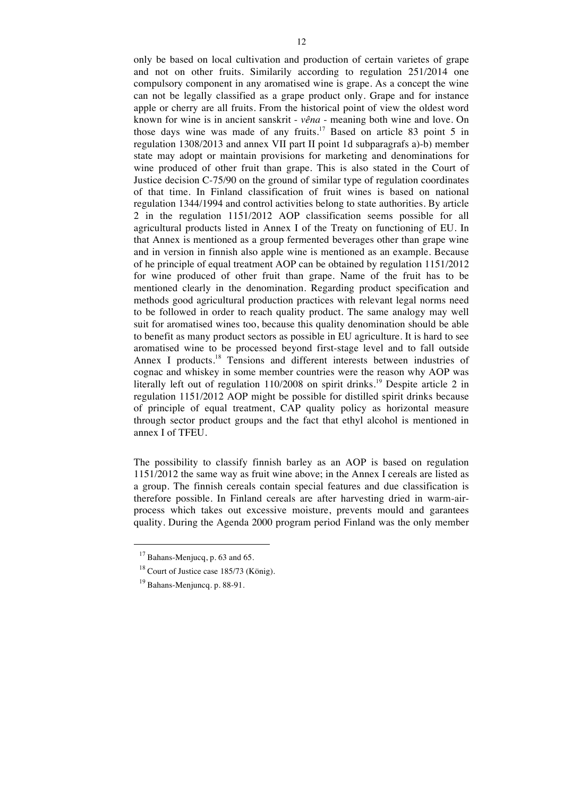only be based on local cultivation and production of certain varietes of grape and not on other fruits. Similarily according to regulation 251/2014 one compulsory component in any aromatised wine is grape. As a concept the wine can not be legally classified as a grape product only. Grape and for instance apple or cherry are all fruits. From the historical point of view the oldest word known for wine is in ancient sanskrit - *vêna* - meaning both wine and love. On those days wine was made of any fruits.<sup>17</sup> Based on article 83 point 5 in regulation 1308/2013 and annex VII part II point 1d subparagrafs a)-b) member state may adopt or maintain provisions for marketing and denominations for wine produced of other fruit than grape. This is also stated in the Court of Justice decision C-75/90 on the ground of similar type of regulation coordinates of that time. In Finland classification of fruit wines is based on national regulation 1344/1994 and control activities belong to state authorities. By article 2 in the regulation 1151/2012 AOP classification seems possible for all agricultural products listed in Annex I of the Treaty on functioning of EU. In that Annex is mentioned as a group fermented beverages other than grape wine and in version in finnish also apple wine is mentioned as an example. Because of he principle of equal treatment AOP can be obtained by regulation 1151/2012 for wine produced of other fruit than grape. Name of the fruit has to be mentioned clearly in the denomination. Regarding product specification and methods good agricultural production practices with relevant legal norms need to be followed in order to reach quality product. The same analogy may well suit for aromatised wines too, because this quality denomination should be able to benefit as many product sectors as possible in EU agriculture. It is hard to see aromatised wine to be processed beyond first-stage level and to fall outside Annex I products.<sup>18</sup> Tensions and different interests between industries of cognac and whiskey in some member countries were the reason why AOP was literally left out of regulation  $110/2008$  on spirit drinks.<sup>19</sup> Despite article 2 in regulation 1151/2012 AOP might be possible for distilled spirit drinks because of principle of equal treatment, CAP quality policy as horizontal measure through sector product groups and the fact that ethyl alcohol is mentioned in annex I of TFEU.

The possibility to classify finnish barley as an AOP is based on regulation 1151/2012 the same way as fruit wine above; in the Annex I cereals are listed as a group. The finnish cereals contain special features and due classification is therefore possible. In Finland cereals are after harvesting dried in warm-airprocess which takes out excessive moisture, prevents mould and garantees quality. During the Agenda 2000 program period Finland was the only member

 $17$  Bahans-Menjucq, p. 63 and 65.

 $18$  Court of Justice case 185/73 (König).

<sup>19</sup> Bahans-Menjuncq. p. 88-91.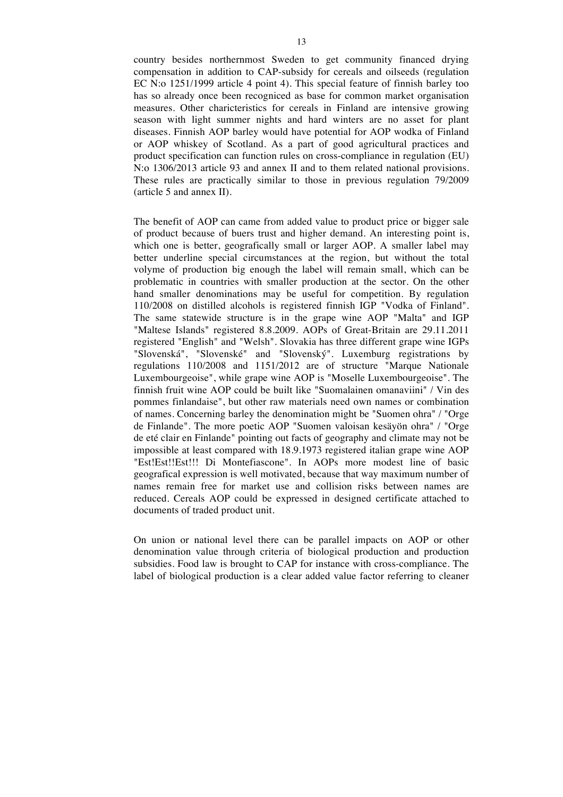country besides northernmost Sweden to get community financed drying compensation in addition to CAP-subsidy for cereals and oilseeds (regulation EC N:o 1251/1999 article 4 point 4). This special feature of finnish barley too has so already once been recogniced as base for common market organisation measures. Other charicteristics for cereals in Finland are intensive growing season with light summer nights and hard winters are no asset for plant diseases. Finnish AOP barley would have potential for AOP wodka of Finland or AOP whiskey of Scotland. As a part of good agricultural practices and product specification can function rules on cross-compliance in regulation (EU) N:o 1306/2013 article 93 and annex II and to them related national provisions. These rules are practically similar to those in previous regulation 79/2009 (article 5 and annex II).

The benefit of AOP can came from added value to product price or bigger sale of product because of buers trust and higher demand. An interesting point is, which one is better, geografically small or larger AOP. A smaller label may better underline special circumstances at the region, but without the total volyme of production big enough the label will remain small, which can be problematic in countries with smaller production at the sector. On the other hand smaller denominations may be useful for competition. By regulation 110/2008 on distilled alcohols is registered finnish IGP "Vodka of Finland". The same statewide structure is in the grape wine AOP "Malta" and IGP "Maltese Islands" registered 8.8.2009. AOPs of Great-Britain are 29.11.2011 registered "English" and "Welsh". Slovakia has three different grape wine IGPs "Slovenská", "Slovenské" and "Slovenský". Luxemburg registrations by regulations 110/2008 and 1151/2012 are of structure "Marque Nationale Luxembourgeoise", while grape wine AOP is "Moselle Luxembourgeoise". The finnish fruit wine AOP could be built like "Suomalainen omanaviini" / Vin des pommes finlandaise", but other raw materials need own names or combination of names. Concerning barley the denomination might be "Suomen ohra" / "Orge de Finlande". The more poetic AOP "Suomen valoisan kesäyön ohra" / "Orge de eté clair en Finlande" pointing out facts of geography and climate may not be impossible at least compared with 18.9.1973 registered italian grape wine AOP "Est!Est!!Est!!! Di Montefiascone". In AOPs more modest line of basic geografical expression is well motivated, because that way maximum number of names remain free for market use and collision risks between names are reduced. Cereals AOP could be expressed in designed certificate attached to documents of traded product unit.

On union or national level there can be parallel impacts on AOP or other denomination value through criteria of biological production and production subsidies. Food law is brought to CAP for instance with cross-compliance. The label of biological production is a clear added value factor referring to cleaner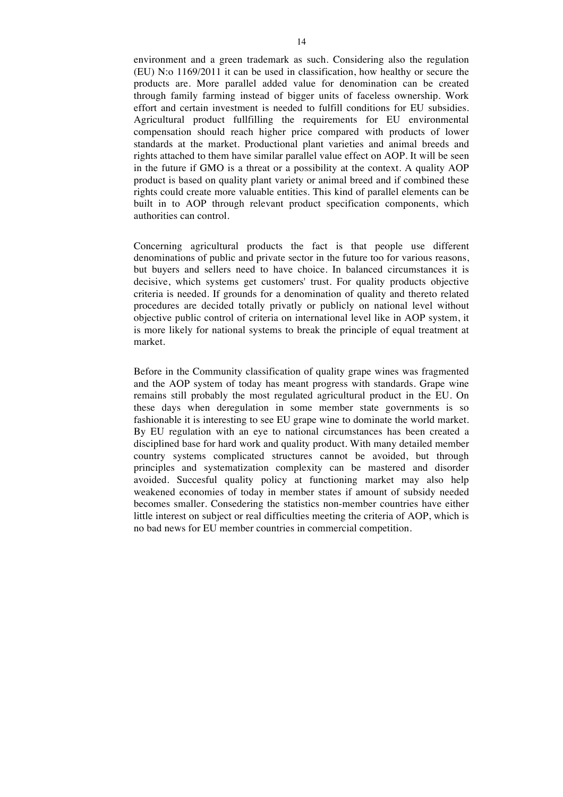environment and a green trademark as such. Considering also the regulation (EU) N:o 1169/2011 it can be used in classification, how healthy or secure the products are. More parallel added value for denomination can be created through family farming instead of bigger units of faceless ownership. Work effort and certain investment is needed to fulfill conditions for EU subsidies. Agricultural product fullfilling the requirements for EU environmental compensation should reach higher price compared with products of lower standards at the market. Productional plant varieties and animal breeds and rights attached to them have similar parallel value effect on AOP. It will be seen in the future if GMO is a threat or a possibility at the context. A quality AOP product is based on quality plant variety or animal breed and if combined these rights could create more valuable entities. This kind of parallel elements can be built in to AOP through relevant product specification components, which authorities can control.

Concerning agricultural products the fact is that people use different denominations of public and private sector in the future too for various reasons, but buyers and sellers need to have choice. In balanced circumstances it is decisive, which systems get customers' trust. For quality products objective criteria is needed. If grounds for a denomination of quality and thereto related procedures are decided totally privatly or publicly on national level without objective public control of criteria on international level like in AOP system, it is more likely for national systems to break the principle of equal treatment at market.

Before in the Community classification of quality grape wines was fragmented and the AOP system of today has meant progress with standards. Grape wine remains still probably the most regulated agricultural product in the EU. On these days when deregulation in some member state governments is so fashionable it is interesting to see EU grape wine to dominate the world market. By EU regulation with an eye to national circumstances has been created a disciplined base for hard work and quality product. With many detailed member country systems complicated structures cannot be avoided, but through principles and systematization complexity can be mastered and disorder avoided. Succesful quality policy at functioning market may also help weakened economies of today in member states if amount of subsidy needed becomes smaller. Consedering the statistics non-member countries have either little interest on subject or real difficulties meeting the criteria of AOP, which is no bad news for EU member countries in commercial competition.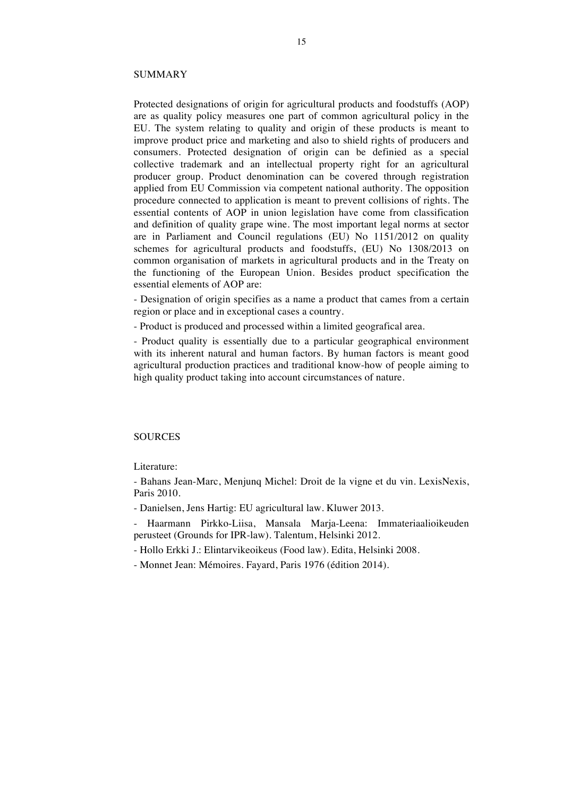#### SUMMARY

Protected designations of origin for agricultural products and foodstuffs (AOP) are as quality policy measures one part of common agricultural policy in the EU. The system relating to quality and origin of these products is meant to improve product price and marketing and also to shield rights of producers and consumers. Protected designation of origin can be definied as a special collective trademark and an intellectual property right for an agricultural producer group. Product denomination can be covered through registration applied from EU Commission via competent national authority. The opposition procedure connected to application is meant to prevent collisions of rights. The essential contents of AOP in union legislation have come from classification and definition of quality grape wine. The most important legal norms at sector are in Parliament and Council regulations (EU) No 1151/2012 on quality schemes for agricultural products and foodstuffs, (EU) No 1308/2013 on common organisation of markets in agricultural products and in the Treaty on the functioning of the European Union. Besides product specification the essential elements of AOP are:

- Designation of origin specifies as a name a product that cames from a certain region or place and in exceptional cases a country.

- Product is produced and processed within a limited geografical area.

- Product quality is essentially due to a particular geographical environment with its inherent natural and human factors. By human factors is meant good agricultural production practices and traditional know-how of people aiming to high quality product taking into account circumstances of nature.

## **SOURCES**

Literature:

- Bahans Jean-Marc, Menjunq Michel: Droit de la vigne et du vin. LexisNexis, Paris 2010.

- Danielsen, Jens Hartig: EU agricultural law. Kluwer 2013.

- Haarmann Pirkko-Liisa, Mansala Marja-Leena: Immateriaalioikeuden perusteet (Grounds for IPR-law). Talentum, Helsinki 2012.

- Hollo Erkki J.: Elintarvikeoikeus (Food law). Edita, Helsinki 2008.

- Monnet Jean: Mémoires. Fayard, Paris 1976 (édition 2014).